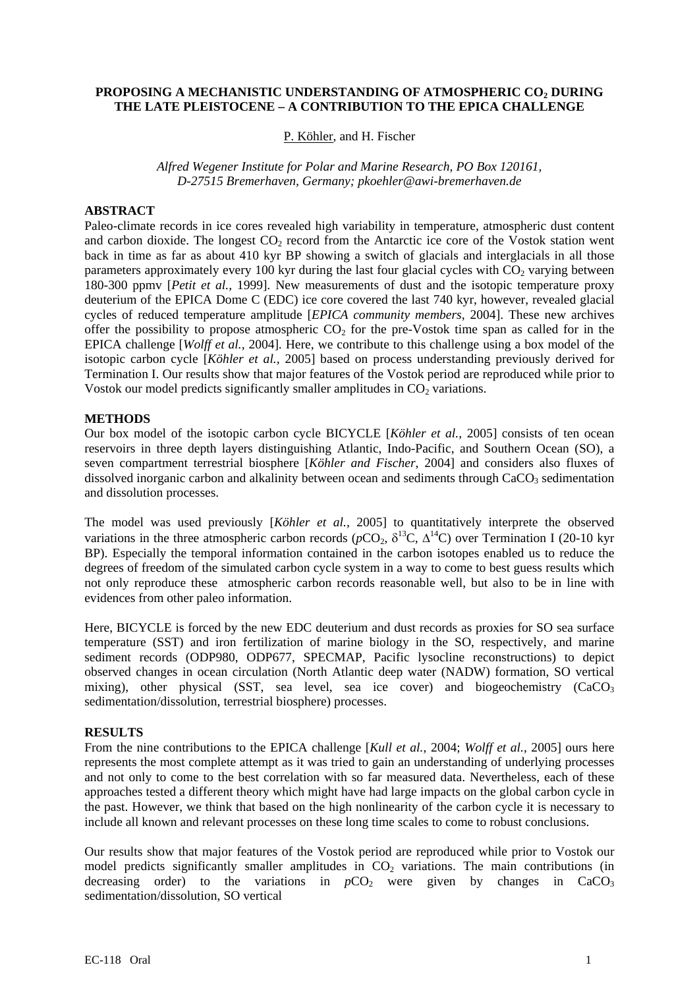# **PROPOSING A MECHANISTIC UNDERSTANDING OF ATMOSPHERIC CO2 DURING THE LATE PLEISTOCENE – A CONTRIBUTION TO THE EPICA CHALLENGE**

P. Köhler, and H. Fischer

*Alfred Wegener Institute for Polar and Marine Research, PO Box 120161, D-27515 Bremerhaven, Germany; [pkoehler@awi-bremerhaven.de](mailto:pkoehler@awi-bremerhaven.de)*

## **ABSTRACT**

Paleo-climate records in ice cores revealed high variability in temperature, atmospheric dust content and carbon dioxide. The longest  $CO<sub>2</sub>$  record from the Antarctic ice core of the Vostok station went back in time as far as about 410 kyr BP showing a switch of glacials and interglacials in all those parameters approximately every 100 kyr during the last four glacial cycles with  $CO<sub>2</sub>$  varying between 180-300 ppmv [*Petit et al.,* 1999]. New measurements of dust and the isotopic temperature proxy deuterium of the EPICA Dome C (EDC) ice core covered the last 740 kyr, however, revealed glacial cycles of reduced temperature amplitude [*EPICA community members*, 2004]. These new archives offer the possibility to propose atmospheric  $CO<sub>2</sub>$  for the pre-Vostok time span as called for in the EPICA challenge [*Wolff et al.,* 2004]. Here, we contribute to this challenge using a box model of the isotopic carbon cycle [*Köhler et al.,* 2005] based on process understanding previously derived for Termination I. Our results show that major features of the Vostok period are reproduced while prior to Vostok our model predicts significantly smaller amplitudes in  $CO<sub>2</sub>$  variations.

## **METHODS**

Our box model of the isotopic carbon cycle BICYCLE [*Köhler et al.,* 2005] consists of ten ocean reservoirs in three depth layers distinguishing Atlantic, Indo-Pacific, and Southern Ocean (SO), a seven compartment terrestrial biosphere [*Köhler and Fischer*, 2004] and considers also fluxes of dissolved inorganic carbon and alkalinity between ocean and sediments through  $CaCO<sub>3</sub>$  sedimentation and dissolution processes.

The model was used previously [*Köhler et al.,* 2005] to quantitatively interprete the observed variations in the three atmospheric carbon records ( $pCO_2$ ,  $\delta^{13}C$ ,  $\Delta^{14}C$ ) over Termination I (20-10 kyr BP). Especially the temporal information contained in the carbon isotopes enabled us to reduce the degrees of freedom of the simulated carbon cycle system in a way to come to best guess results which not only reproduce these atmospheric carbon records reasonable well, but also to be in line with evidences from other paleo information.

Here, BICYCLE is forced by the new EDC deuterium and dust records as proxies for SO sea surface temperature (SST) and iron fertilization of marine biology in the SO, respectively, and marine sediment records (ODP980, ODP677, SPECMAP, Pacific lysocline reconstructions) to depict observed changes in ocean circulation (North Atlantic deep water (NADW) formation, SO vertical mixing), other physical (SST, sea level, sea ice cover) and biogeochemistry  $(CaCO<sub>3</sub>)$ sedimentation/dissolution, terrestrial biosphere) processes.

## **RESULTS**

From the nine contributions to the EPICA challenge [*Kull et al.*, 2004; *Wolff et al.*, 2005] ours here represents the most complete attempt as it was tried to gain an understanding of underlying processes and not only to come to the best correlation with so far measured data. Nevertheless, each of these approaches tested a different theory which might have had large impacts on the global carbon cycle in the past. However, we think that based on the high nonlinearity of the carbon cycle it is necessary to include all known and relevant processes on these long time scales to come to robust conclusions.

Our results show that major features of the Vostok period are reproduced while prior to Vostok our model predicts significantly smaller amplitudes in  $CO<sub>2</sub>$  variations. The main contributions (in decreasing order) to the variations in  $pCO<sub>2</sub>$  were given by changes in CaCO<sub>3</sub> sedimentation/dissolution, SO vertical